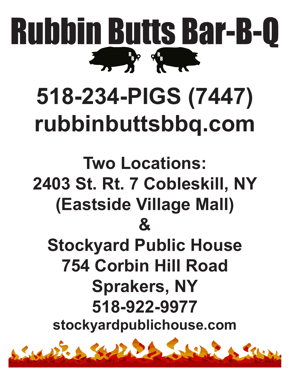

# **518-234-PIGS (7447) rubbinbuttsbbq.com**

**Two Locations: 2403 St. Rt. 7 Cobleskill, NY (Eastside Village Mall) & Stockyard Public House 754 Corbin Hill Road Sprakers, NY 518-922-9977 stockyardpublichouse.com**

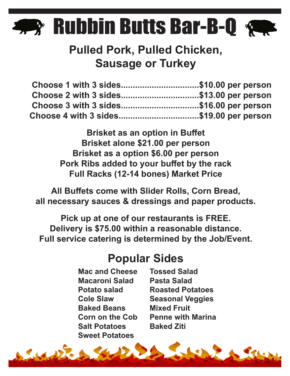#### **R** R<sup>R</sup>B <sup>R</sup>BP | |

#### **Pulled Pork, Pulled Chicken, Sausage or Turkey**

| Choose 1 with 3 sides\$10.00 per person |  |
|-----------------------------------------|--|
| Choose 2 with 3 sides\$13.00 per person |  |
| Choose 3 with 3 sides\$16.00 per person |  |
| Choose 4 with 3 sides\$19.00 per person |  |

**Brisket as an option in Buffet Brisket alone \$21.00 per person Brisket as a option \$6.00 per person Pork Ribs added to your buffet by the rack Full Racks (12-14 bones) Market Price**

**All Buffets come with Slider Rolls, Corn Bread, all necessary sauces & dressings and paper products.**

**Pick up at one of our restaurants is FREE. Delivery is \$75.00 within a reasonable distance. Full service catering is determined by the Job/Event.**

#### **Popular Sides**

**Mac and Cheese Macaroni Salad Potato salad Cole Slaw Baked Beans Corn on the Cob Salt Potatoes Sweet Potatoes**

**Tossed Salad Pasta Salad Roasted Potatoes Seasonal Veggies Mixed Fruit Penne with Marina Baked Ziti**

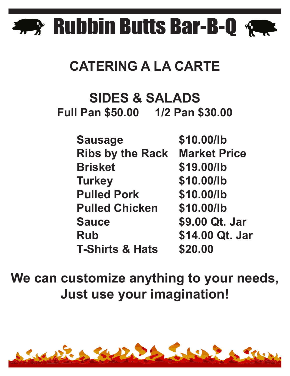

## **CATERING A LA CARTE**

### **SIDES & SALADS Full Pan \$50.00 1/2 Pan \$30.00**

 **Sausage \$10.00/lb Ribs by the Rack Market Price Brisket \$19.00/lb Turkey \$10.00/lb Pulled Pork \$10.00/lb Pulled Chicken \$10.00/lb Sauce \$9.00 Qt. Jar Rub \$14.00 Qt. Jar T-Shirts & Hats \$20.00**

**We can customize anything to your needs, Just use your imagination!**